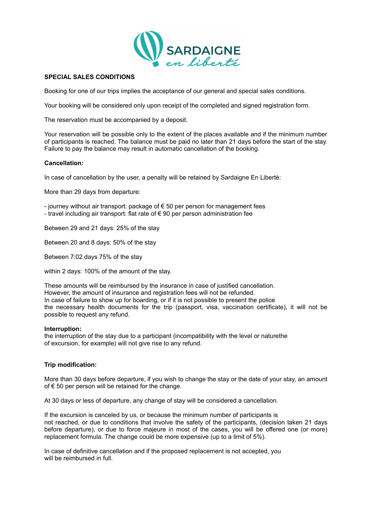

# **SPECIAL SALES CONDITIONS**

Booking for one of our trips implies the acceptance of our general and special sales conditions.

Your booking will be considered only upon receipt of the completed and signed registration form.

The reservation must be accompanied by a deposit.

Your reservation will be possible only to the extent of the places available and if the minimum number of participants is reached. The balance must be paid no later than 21 days before the start of the stay. Failure to pay the balance may result in automatic cancellation of the booking.

## **Cancellation:**

In case of cancellation by the user, a penalty will be retained by Sardaigne En Libertè:

More than 29 days from departure:

- journey without air transport: package of € 50 per person for management fees

- travel including air transport: flat rate of  $\epsilon$  90 per person administration fee

Between 29 and 21 days: 25% of the stay

Between 20 and 8 days: 50% of the stay

Between 7:02 days 75% of the stay

within 2 days: 100% of the amount of the stay.

These amounts will be reimbursed by the insurance in case of justified cancellation. However, the amount of insurance and registration fees will not be refunded. In case of failure to show up for boarding, or if it is not possible to present the police the necessary health documents for the trip (passport, visa, vaccination certificate), it will not be possible to request any refund.

#### **Interruption:**

the interruption of the stay due to a participant (incompatibility with the level or naturethe of excursion, for example) will not give rise to any refund.

#### **Trip modification:**

More than 30 days before departure, if you wish to change the stay or the date of your stay, an amount of  $€$  50 per person will be retained for the change.

At 30 days or less of departure, any change of stay will be considered a cancellation.

If the excursion is canceled by us, or because the minimum number of participants is not reached, or due to conditions that involve the safety of the participants, (decision taken 21 days before departure), or due to force majeure in most of the cases, you will be offered one (or more) replacement formula. The change could be more expensive (up to a limit of 5%).

In case of definitive cancellation and if the proposed replacement is not accepted, you will be reimbursed in full.